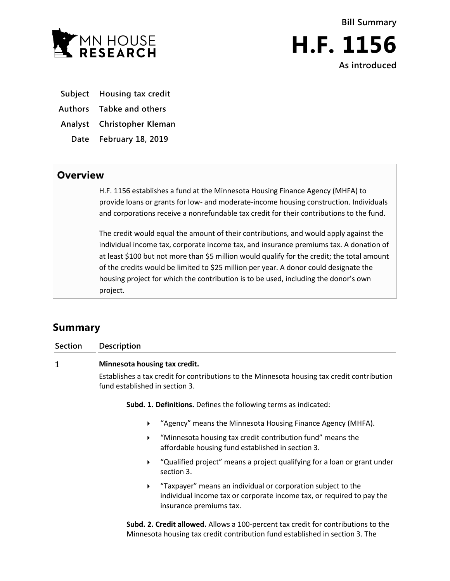



- **Subject Housing tax credit**
- **Authors Tabke and others**
- **Analyst Christopher Kleman**
- **Date February 18, 2019**

## **Overview**

H.F. 1156 establishes a fund at the Minnesota Housing Finance Agency (MHFA) to provide loans or grants for low- and moderate-income housing construction. Individuals and corporations receive a nonrefundable tax credit for their contributions to the fund.

The credit would equal the amount of their contributions, and would apply against the individual income tax, corporate income tax, and insurance premiums tax. A donation of at least \$100 but not more than \$5 million would qualify for the credit; the total amount of the credits would be limited to \$25 million per year. A donor could designate the housing project for which the contribution is to be used, including the donor's own project.

# **Summary**

| Section | <b>Description</b>                                                                                                                                                                               |                                                                                                                 |
|---------|--------------------------------------------------------------------------------------------------------------------------------------------------------------------------------------------------|-----------------------------------------------------------------------------------------------------------------|
| 1       | Minnesota housing tax credit.                                                                                                                                                                    |                                                                                                                 |
|         | Establishes a tax credit for contributions to the Minnesota housing tax credit contribution<br>fund established in section 3.<br>Subd. 1. Definitions. Defines the following terms as indicated: |                                                                                                                 |
|         |                                                                                                                                                                                                  |                                                                                                                 |
|         | ▶                                                                                                                                                                                                | "Minnesota housing tax credit contribution fund" means the<br>affordable housing fund established in section 3. |
|         | ▶                                                                                                                                                                                                | "Qualified project" means a project qualifying for a loan or grant under<br>section 3.                          |

 "Taxpayer" means an individual or corporation subject to the individual income tax or corporate income tax, or required to pay the insurance premiums tax.

**Subd. 2. Credit allowed.** Allows a 100-percent tax credit for contributions to the Minnesota housing tax credit contribution fund established in section 3. The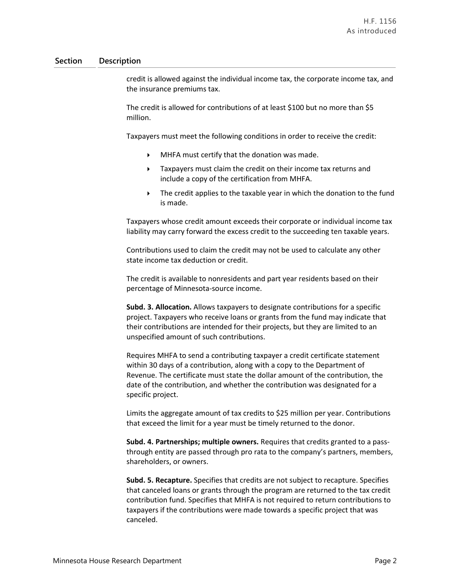### **Section Description**

credit is allowed against the individual income tax, the corporate income tax, and the insurance premiums tax.

The credit is allowed for contributions of at least \$100 but no more than \$5 million.

Taxpayers must meet the following conditions in order to receive the credit:

- $\blacktriangleright$  MHFA must certify that the donation was made.
- Taxpayers must claim the credit on their income tax returns and include a copy of the certification from MHFA.
- **FILM** The credit applies to the taxable year in which the donation to the fund is made.

Taxpayers whose credit amount exceeds their corporate or individual income tax liability may carry forward the excess credit to the succeeding ten taxable years.

Contributions used to claim the credit may not be used to calculate any other state income tax deduction or credit.

The credit is available to nonresidents and part year residents based on their percentage of Minnesota-source income.

**Subd. 3. Allocation.** Allows taxpayers to designate contributions for a specific project. Taxpayers who receive loans or grants from the fund may indicate that their contributions are intended for their projects, but they are limited to an unspecified amount of such contributions.

Requires MHFA to send a contributing taxpayer a credit certificate statement within 30 days of a contribution, along with a copy to the Department of Revenue. The certificate must state the dollar amount of the contribution, the date of the contribution, and whether the contribution was designated for a specific project.

Limits the aggregate amount of tax credits to \$25 million per year. Contributions that exceed the limit for a year must be timely returned to the donor.

**Subd. 4. Partnerships; multiple owners.** Requires that credits granted to a passthrough entity are passed through pro rata to the company's partners, members, shareholders, or owners.

**Subd. 5. Recapture.** Specifies that credits are not subject to recapture. Specifies that canceled loans or grants through the program are returned to the tax credit contribution fund. Specifies that MHFA is not required to return contributions to taxpayers if the contributions were made towards a specific project that was canceled.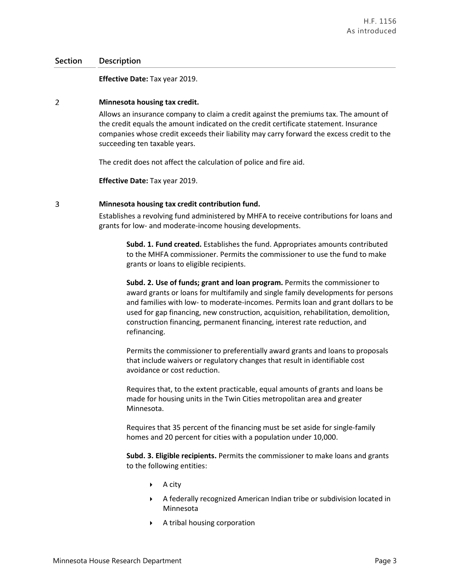### **Section Description**

**Effective Date:** Tax year 2019.

#### $\overline{2}$ **Minnesota housing tax credit.**

Allows an insurance company to claim a credit against the premiums tax. The amount of the credit equals the amount indicated on the credit certificate statement. Insurance companies whose credit exceeds their liability may carry forward the excess credit to the succeeding ten taxable years.

The credit does not affect the calculation of police and fire aid.

**Effective Date:** Tax year 2019.

#### 3 **Minnesota housing tax credit contribution fund.**

Establishes a revolving fund administered by MHFA to receive contributions for loans and grants for low- and moderate-income housing developments.

**Subd. 1. Fund created.** Establishes the fund. Appropriates amounts contributed to the MHFA commissioner. Permits the commissioner to use the fund to make grants or loans to eligible recipients.

**Subd. 2. Use of funds; grant and loan program.** Permits the commissioner to award grants or loans for multifamily and single family developments for persons and families with low- to moderate-incomes. Permits loan and grant dollars to be used for gap financing, new construction, acquisition, rehabilitation, demolition, construction financing, permanent financing, interest rate reduction, and refinancing.

Permits the commissioner to preferentially award grants and loans to proposals that include waivers or regulatory changes that result in identifiable cost avoidance or cost reduction.

Requires that, to the extent practicable, equal amounts of grants and loans be made for housing units in the Twin Cities metropolitan area and greater Minnesota.

Requires that 35 percent of the financing must be set aside for single-family homes and 20 percent for cities with a population under 10,000.

**Subd. 3. Eligible recipients.** Permits the commissioner to make loans and grants to the following entities:

- $\triangleright$  A city
- A federally recognized American Indian tribe or subdivision located in Minnesota
- A tribal housing corporation